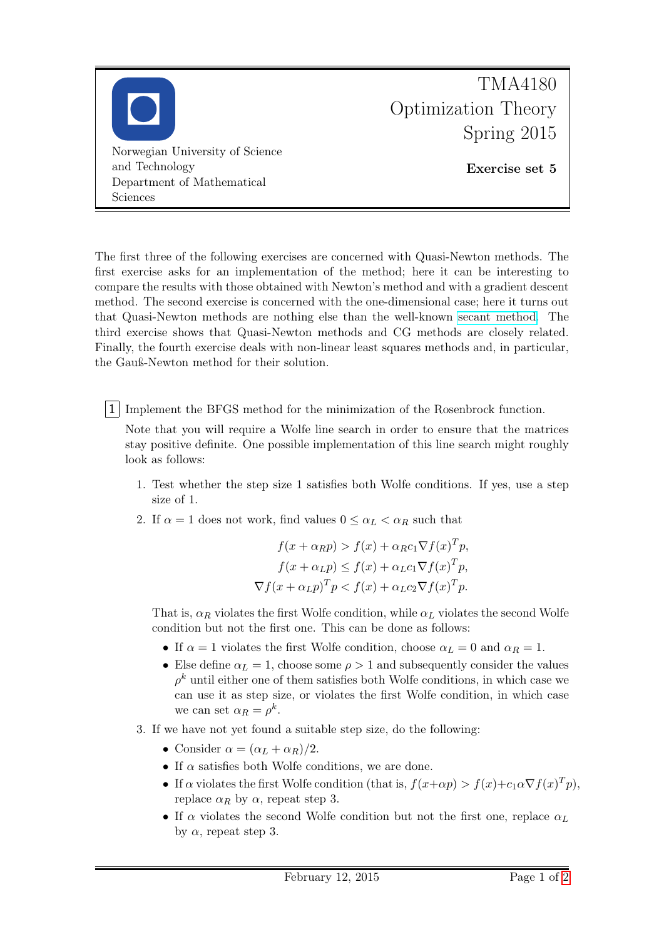

The first three of the following exercises are concerned with Quasi-Newton methods. The first exercise asks for an implementation of the method; here it can be interesting to compare the results with those obtained with Newton's method and with a gradient descent method. The second exercise is concerned with the one-dimensional case; here it turns out that Quasi-Newton methods are nothing else than the well-known [secant method.](http://en.wikipedia.org/wiki/Secant_method) The third exercise shows that Quasi-Newton methods and CG methods are closely related. Finally, the fourth exercise deals with non-linear least squares methods and, in particular, the Gauß-Newton method for their solution.

1 Implement the BFGS method for the minimization of the Rosenbrock function.

Note that you will require a Wolfe line search in order to ensure that the matrices stay positive definite. One possible implementation of this line search might roughly look as follows:

- 1. Test whether the step size 1 satisfies both Wolfe conditions. If yes, use a step size of 1.
- 2. If  $\alpha = 1$  does not work, find values  $0 \leq \alpha_L < \alpha_R$  such that

$$
f(x + \alpha_R p) > f(x) + \alpha_R c_1 \nabla f(x)^T p,
$$
  
\n
$$
f(x + \alpha_L p) \le f(x) + \alpha_L c_1 \nabla f(x)^T p,
$$
  
\n
$$
\nabla f(x + \alpha_L p)^T p < f(x) + \alpha_L c_2 \nabla f(x)^T p.
$$

That is,  $\alpha_R$  violates the first Wolfe condition, while  $\alpha_L$  violates the second Wolfe condition but not the first one. This can be done as follows:

- If  $\alpha = 1$  violates the first Wolfe condition, choose  $\alpha_L = 0$  and  $\alpha_R = 1$ .
- Else define  $\alpha_L = 1$ , choose some  $\rho > 1$  and subsequently consider the values  $\rho^k$  until either one of them satisfies both Wolfe conditions, in which case we can use it as step size, or violates the first Wolfe condition, in which case we can set  $\alpha_R = \rho^k$ .
- 3. If we have not yet found a suitable step size, do the following:
	- Consider  $\alpha = (\alpha_L + \alpha_R)/2$ .
	- If  $\alpha$  satisfies both Wolfe conditions, we are done.
	- If  $\alpha$  violates the first Wolfe condition (that is,  $f(x+\alpha p) > f(x)+c_1\alpha \nabla f(x)^T p$ ), replace  $\alpha_R$  by  $\alpha$ , repeat step 3.
	- If  $\alpha$  violates the second Wolfe condition but not the first one, replace  $\alpha_L$ by  $\alpha$ , repeat step 3.